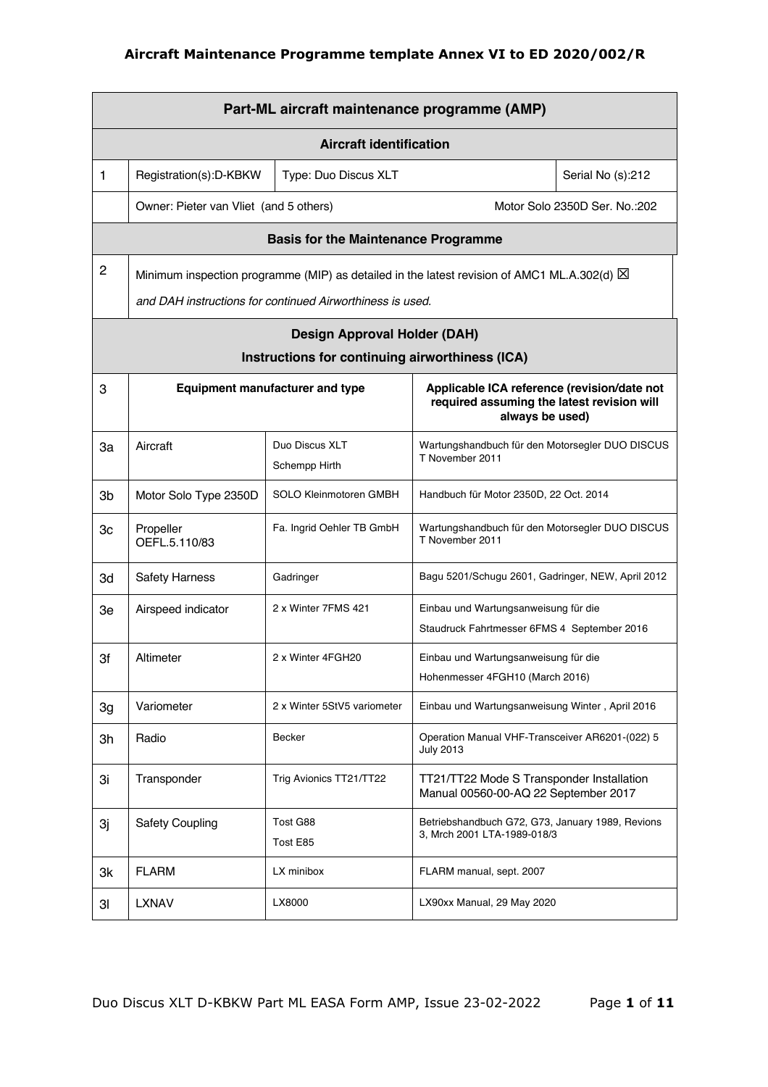|                | Part-ML aircraft maintenance programme (AMP) |                                                                                                       |                                                                                                              |                               |  |  |
|----------------|----------------------------------------------|-------------------------------------------------------------------------------------------------------|--------------------------------------------------------------------------------------------------------------|-------------------------------|--|--|
|                | <b>Aircraft identification</b>               |                                                                                                       |                                                                                                              |                               |  |  |
| 1              | Registration(s):D-KBKW                       | Type: Duo Discus XLT                                                                                  |                                                                                                              | Serial No (s):212             |  |  |
|                | Owner: Pieter van Vliet (and 5 others)       |                                                                                                       |                                                                                                              | Motor Solo 2350D Ser. No.:202 |  |  |
|                |                                              | <b>Basis for the Maintenance Programme</b>                                                            |                                                                                                              |                               |  |  |
| $\overline{c}$ |                                              | Minimum inspection programme (MIP) as detailed in the latest revision of AMC1 ML.A.302(d) $\boxtimes$ |                                                                                                              |                               |  |  |
|                |                                              | and DAH instructions for continued Airworthiness is used.                                             |                                                                                                              |                               |  |  |
|                |                                              | <b>Design Approval Holder (DAH)</b>                                                                   |                                                                                                              |                               |  |  |
|                |                                              | Instructions for continuing airworthiness (ICA)                                                       |                                                                                                              |                               |  |  |
| 3              |                                              | <b>Equipment manufacturer and type</b>                                                                | Applicable ICA reference (revision/date not<br>required assuming the latest revision will<br>always be used) |                               |  |  |
| За             | Aircraft                                     | Duo Discus XLT<br>Schempp Hirth                                                                       | Wartungshandbuch für den Motorsegler DUO DISCUS<br>T November 2011                                           |                               |  |  |
| 3b             | Motor Solo Type 2350D                        | SOLO Kleinmotoren GMBH                                                                                | Handbuch für Motor 2350D, 22 Oct. 2014                                                                       |                               |  |  |
| Зс             | Propeller<br>OEFL.5.110/83                   | Fa. Ingrid Oehler TB GmbH                                                                             | Wartungshandbuch für den Motorsegler DUO DISCUS<br>T November 2011                                           |                               |  |  |
| 3d             | <b>Safety Harness</b>                        | Gadringer                                                                                             | Bagu 5201/Schugu 2601, Gadringer, NEW, April 2012                                                            |                               |  |  |
| Зe             | Airspeed indicator                           | 2 x Winter 7FMS 421                                                                                   | Einbau und Wartungsanweisung für die                                                                         |                               |  |  |
|                |                                              |                                                                                                       | Staudruck Fahrtmesser 6FMS 4 September 2016                                                                  |                               |  |  |
| 3f             | Altimeter                                    | 2 x Winter 4FGH20                                                                                     | Einbau und Wartungsanweisung für die<br>Hohenmesser 4FGH10 (March 2016)                                      |                               |  |  |
| 3g             | Variometer                                   | 2 x Winter 5StV5 variometer                                                                           | Einbau und Wartungsanweisung Winter, April 2016                                                              |                               |  |  |
| 3h             | Radio                                        | Becker                                                                                                | Operation Manual VHF-Transceiver AR6201-(022) 5<br><b>July 2013</b>                                          |                               |  |  |
| 3i             | Transponder                                  | Trig Avionics TT21/TT22                                                                               | TT21/TT22 Mode S Transponder Installation<br>Manual 00560-00-AQ 22 September 2017                            |                               |  |  |
| Зj             | <b>Safety Coupling</b>                       | Tost G88<br>Tost E85                                                                                  | Betriebshandbuch G72, G73, January 1989, Revions<br>3, Mrch 2001 LTA-1989-018/3                              |                               |  |  |
| 3k             | <b>FLARM</b>                                 | LX minibox                                                                                            | FLARM manual, sept. 2007                                                                                     |                               |  |  |
| 31             | <b>LXNAV</b>                                 | LX8000                                                                                                | LX90xx Manual, 29 May 2020                                                                                   |                               |  |  |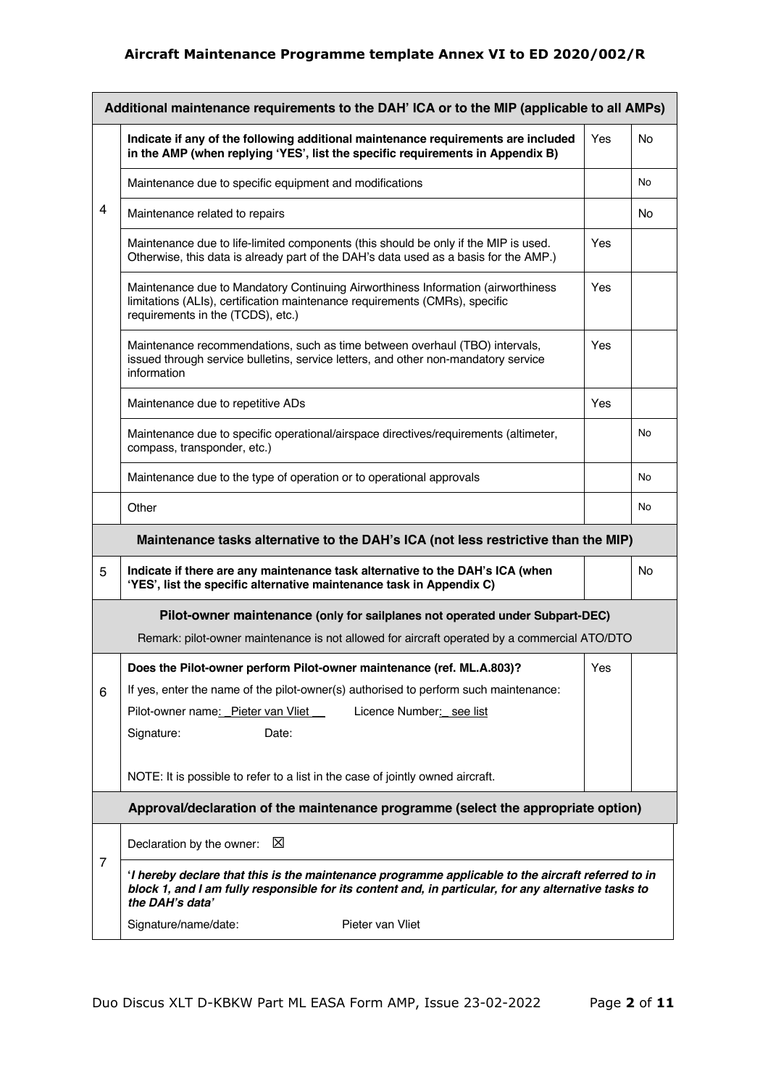|   | Additional maintenance requirements to the DAH' ICA or to the MIP (applicable to all AMPs)                                                                                                                                                             |     |           |  |  |
|---|--------------------------------------------------------------------------------------------------------------------------------------------------------------------------------------------------------------------------------------------------------|-----|-----------|--|--|
|   | Indicate if any of the following additional maintenance requirements are included<br>in the AMP (when replying 'YES', list the specific requirements in Appendix B)                                                                                    | Yes | No        |  |  |
|   | Maintenance due to specific equipment and modifications                                                                                                                                                                                                |     | No        |  |  |
| 4 | Maintenance related to repairs                                                                                                                                                                                                                         |     | No        |  |  |
|   | Maintenance due to life-limited components (this should be only if the MIP is used.<br>Otherwise, this data is already part of the DAH's data used as a basis for the AMP.)                                                                            | Yes |           |  |  |
|   | Maintenance due to Mandatory Continuing Airworthiness Information (airworthiness<br>limitations (ALIs), certification maintenance requirements (CMRs), specific<br>requirements in the (TCDS), etc.)                                                   | Yes |           |  |  |
|   | Maintenance recommendations, such as time between overhaul (TBO) intervals,<br>issued through service bulletins, service letters, and other non-mandatory service<br>information                                                                       | Yes |           |  |  |
|   | Maintenance due to repetitive ADs                                                                                                                                                                                                                      | Yes |           |  |  |
|   | Maintenance due to specific operational/airspace directives/requirements (altimeter,<br>compass, transponder, etc.)                                                                                                                                    |     | No        |  |  |
|   | Maintenance due to the type of operation or to operational approvals                                                                                                                                                                                   |     | No        |  |  |
|   | Other                                                                                                                                                                                                                                                  |     | No        |  |  |
|   | Maintenance tasks alternative to the DAH's ICA (not less restrictive than the MIP)                                                                                                                                                                     |     |           |  |  |
| 5 | Indicate if there are any maintenance task alternative to the DAH's ICA (when<br>'YES', list the specific alternative maintenance task in Appendix C)                                                                                                  |     | <b>No</b> |  |  |
|   | Pilot-owner maintenance (only for sailplanes not operated under Subpart-DEC)                                                                                                                                                                           |     |           |  |  |
|   | Remark: pilot-owner maintenance is not allowed for aircraft operated by a commercial ATO/DTO                                                                                                                                                           |     |           |  |  |
| 6 | Does the Pilot-owner perform Pilot-owner maintenance (ref. ML.A.803)?<br>If yes, enter the name of the pilot-owner(s) authorised to perform such maintenance:<br>Pilot-owner name: Pieter van Vliet<br>Licence Number: see list<br>Signature:<br>Date: | Yes |           |  |  |
|   |                                                                                                                                                                                                                                                        |     |           |  |  |
|   | NOTE: It is possible to refer to a list in the case of jointly owned aircraft.                                                                                                                                                                         |     |           |  |  |
|   | Approval/declaration of the maintenance programme (select the appropriate option)                                                                                                                                                                      |     |           |  |  |
|   | X<br>Declaration by the owner:                                                                                                                                                                                                                         |     |           |  |  |
| 7 | I hereby declare that this is the maintenance programme applicable to the aircraft referred to in<br>block 1, and I am fully responsible for its content and, in particular, for any alternative tasks to<br>the DAH's data'                           |     |           |  |  |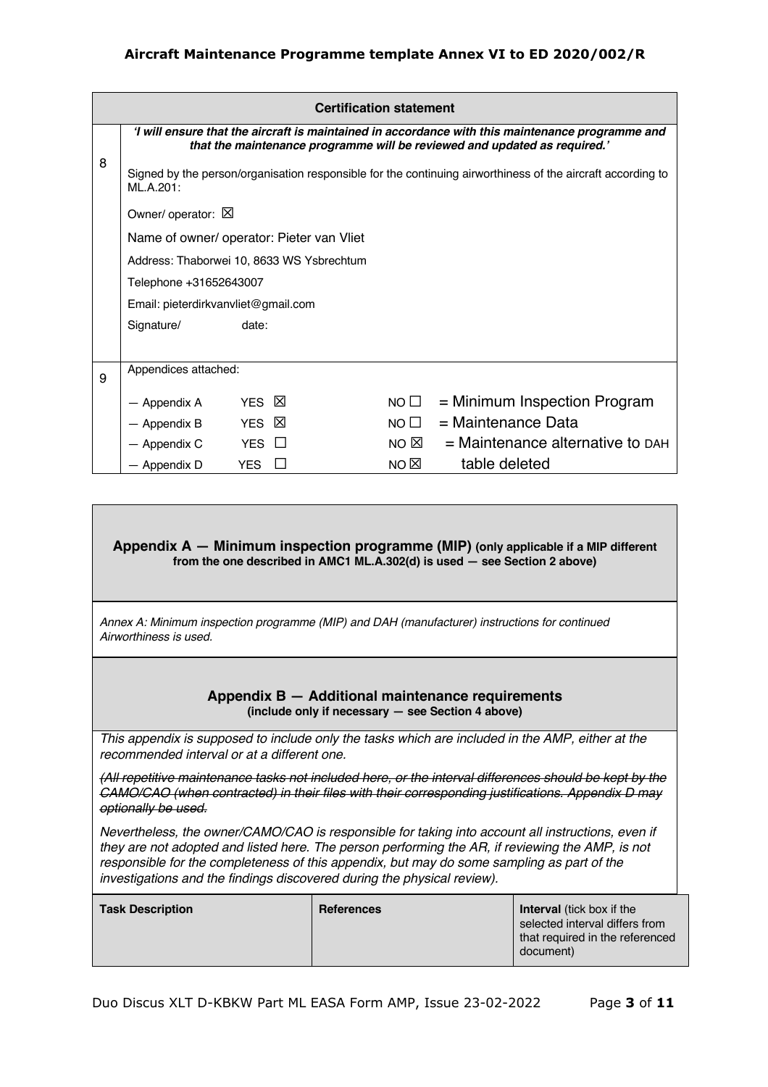|   | <b>Certification statement</b>                                                                                                                                                                                                                                                                           |                                           |  |                |                                      |  |
|---|----------------------------------------------------------------------------------------------------------------------------------------------------------------------------------------------------------------------------------------------------------------------------------------------------------|-------------------------------------------|--|----------------|--------------------------------------|--|
|   | I will ensure that the aircraft is maintained in accordance with this maintenance programme and<br>that the maintenance programme will be reviewed and updated as required.'<br>Signed by the person/organisation responsible for the continuing airworthiness of the aircraft according to<br>ML.A.201: |                                           |  |                |                                      |  |
| 8 |                                                                                                                                                                                                                                                                                                          |                                           |  |                |                                      |  |
|   | Owner/ operator: X                                                                                                                                                                                                                                                                                       |                                           |  |                |                                      |  |
|   | Name of owner/ operator: Pieter van Vliet                                                                                                                                                                                                                                                                |                                           |  |                |                                      |  |
|   |                                                                                                                                                                                                                                                                                                          | Address: Thaborwei 10, 8633 WS Ysbrechtum |  |                |                                      |  |
|   |                                                                                                                                                                                                                                                                                                          | Telephone +31652643007                    |  |                |                                      |  |
|   | Email: pieterdirkvanvliet@gmail.com                                                                                                                                                                                                                                                                      |                                           |  |                |                                      |  |
|   | Signature/                                                                                                                                                                                                                                                                                               | date:                                     |  |                |                                      |  |
|   |                                                                                                                                                                                                                                                                                                          |                                           |  |                |                                      |  |
| 9 | Appendices attached:                                                                                                                                                                                                                                                                                     |                                           |  |                |                                      |  |
|   | — Appendix A                                                                                                                                                                                                                                                                                             | ⊠<br><b>YES</b>                           |  | NO $\square$   | $=$ Minimum Inspection Program       |  |
|   | — Appendix B                                                                                                                                                                                                                                                                                             | $\mathbb{X}$<br><b>YES</b>                |  | NO $\Box$      | = Maintenance Data                   |  |
|   | — Appendix C                                                                                                                                                                                                                                                                                             | <b>YES</b><br>$\perp$                     |  | NO $\boxtimes$ | $=$ Maintenance alternative to $DAH$ |  |
|   | — Appendix D                                                                                                                                                                                                                                                                                             | <b>YES</b><br>$\mathbf{1}$                |  | NO $\boxtimes$ | table deleted                        |  |
|   |                                                                                                                                                                                                                                                                                                          |                                           |  |                |                                      |  |

#### **Appendix A — Minimum inspection programme (MIP) (only applicable if a MIP different from the one described in AMC1 ML.A.302(d) is used — see Section 2 above)**

*Annex A: Minimum inspection programme (MIP) and DAH (manufacturer) instructions for continued Airworthiness is used.* 

#### **Appendix B — Additional maintenance requirements (include only if necessary — see Section 4 above)**

*This appendix is supposed to include only the tasks which are included in the AMP, either at the recommended interval or at a different one.* 

*(All repetitive maintenance tasks not included here, or the interval differences should be kept by the CAMO/CAO (when contracted) in their files with their corresponding justifications. Appendix D may optionally be used.* 

*Nevertheless, the owner/CAMO/CAO is responsible for taking into account all instructions, even if they are not adopted and listed here. The person performing the AR, if reviewing the AMP, is not responsible for the completeness of this appendix, but may do some sampling as part of the investigations and the findings discovered during the physical review).*

| <b>Task Description</b> | <b>References</b> | <b>Interval</b> (tick box if the |
|-------------------------|-------------------|----------------------------------|
|                         |                   | selected interval differs from   |
|                         |                   | that required in the referenced  |
|                         |                   | document)                        |
|                         |                   |                                  |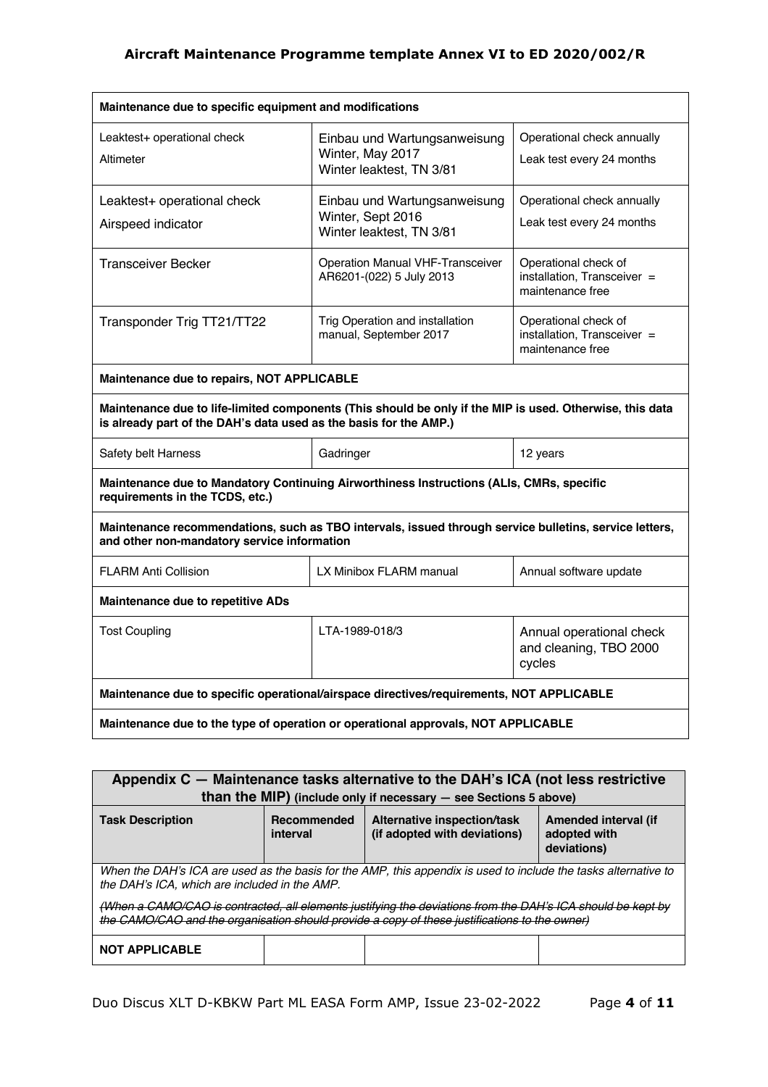| Maintenance due to specific equipment and modifications                                                                                                                       |                                                                               |                                                                         |  |  |
|-------------------------------------------------------------------------------------------------------------------------------------------------------------------------------|-------------------------------------------------------------------------------|-------------------------------------------------------------------------|--|--|
| Leaktest+ operational check<br>Altimeter                                                                                                                                      | Einbau und Wartungsanweisung<br>Winter, May 2017<br>Winter leaktest, TN 3/81  | Operational check annually<br>Leak test every 24 months                 |  |  |
| Leaktest+ operational check<br>Airspeed indicator                                                                                                                             | Einbau und Wartungsanweisung<br>Winter, Sept 2016<br>Winter leaktest, TN 3/81 | Operational check annually<br>Leak test every 24 months                 |  |  |
| <b>Transceiver Becker</b>                                                                                                                                                     | Operation Manual VHF-Transceiver<br>AR6201-(022) 5 July 2013                  | Operational check of<br>installation, Transceiver =<br>maintenance free |  |  |
| Transponder Trig TT21/TT22                                                                                                                                                    | Trig Operation and installation<br>manual, September 2017                     | Operational check of<br>installation, Transceiver =<br>maintenance free |  |  |
| Maintenance due to repairs, NOT APPLICABLE                                                                                                                                    |                                                                               |                                                                         |  |  |
| Maintenance due to life-limited components (This should be only if the MIP is used. Otherwise, this data<br>is already part of the DAH's data used as the basis for the AMP.) |                                                                               |                                                                         |  |  |
| Safety belt Harness                                                                                                                                                           | Gadringer                                                                     | 12 years                                                                |  |  |
| Maintenance due to Mandatory Continuing Airworthiness Instructions (ALIs, CMRs, specific<br>requirements in the TCDS, etc.)                                                   |                                                                               |                                                                         |  |  |
| Maintenance recommendations, such as TBO intervals, issued through service bulletins, service letters,<br>and other non-mandatory service information                         |                                                                               |                                                                         |  |  |
| <b>FLARM Anti Collision</b>                                                                                                                                                   | LX Minibox FLARM manual                                                       | Annual software update                                                  |  |  |
| <b>Maintenance due to repetitive ADs</b>                                                                                                                                      |                                                                               |                                                                         |  |  |
| <b>Tost Coupling</b>                                                                                                                                                          | LTA-1989-018/3                                                                | Annual operational check<br>and cleaning, TBO 2000<br>cycles            |  |  |
| Maintenance due to specific operational/airspace directives/requirements, NOT APPLICABLE                                                                                      |                                                                               |                                                                         |  |  |
| Maintenance due to the type of operation or operational approvals, NOT APPLICABLE                                                                                             |                                                                               |                                                                         |  |  |

| Appendix C - Maintenance tasks alternative to the DAH's ICA (not less restrictive<br>than the MIP) (include only if necessary $-$ see Sections 5 above)                                                                                                                                                                                                                          |  |  |                                                     |  |  |
|----------------------------------------------------------------------------------------------------------------------------------------------------------------------------------------------------------------------------------------------------------------------------------------------------------------------------------------------------------------------------------|--|--|-----------------------------------------------------|--|--|
| Recommended<br>Alternative inspection/task<br><b>Task Description</b><br>(if adopted with deviations)<br>interval                                                                                                                                                                                                                                                                |  |  | Amended interval (if<br>adopted with<br>deviations) |  |  |
| When the DAH's ICA are used as the basis for the AMP, this appendix is used to include the tasks alternative to<br>the DAH's ICA, which are included in the AMP.<br>(When a CAMO/CAO is contracted, all elements justifying the deviations from the DAH's ICA should be kept by<br>the CAMO/CAO and the organisation should provide a copy of these justifications to the owner) |  |  |                                                     |  |  |
| <b>NOT APPLICABLE</b>                                                                                                                                                                                                                                                                                                                                                            |  |  |                                                     |  |  |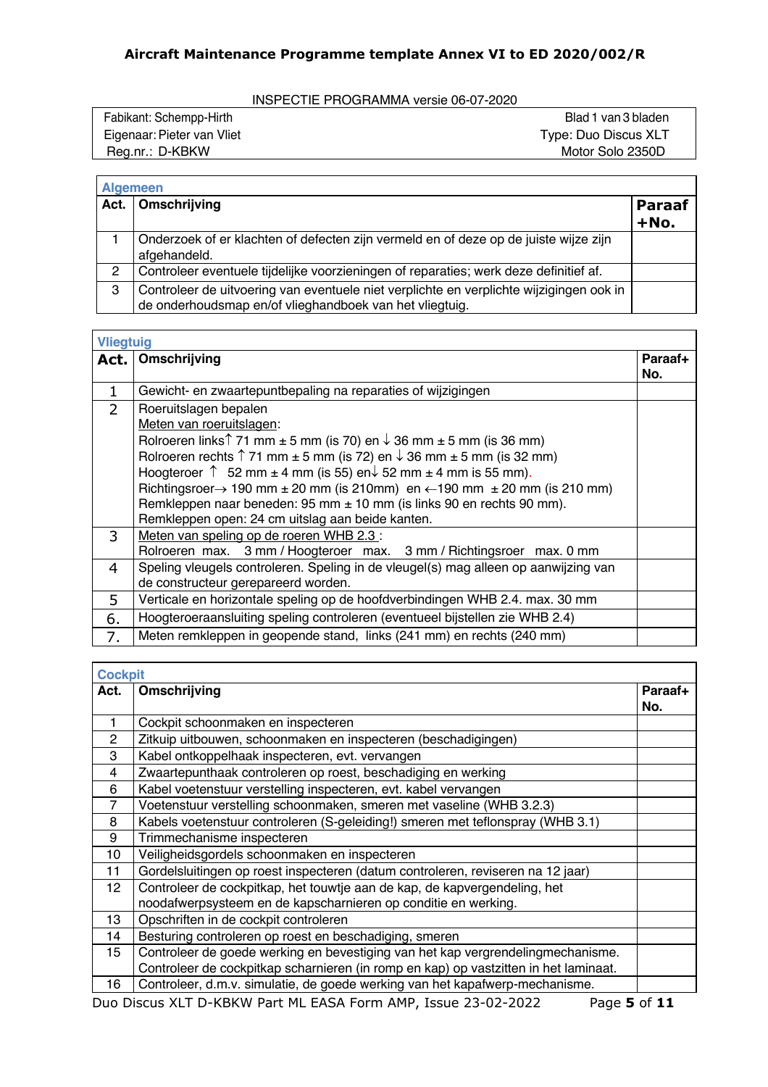INSPECTIE PROGRAMMA versie 06-07-2020

| Fabikant: Schempp-Hirth    | Blad 1 van 3 bladen  |
|----------------------------|----------------------|
| Eigenaar: Pieter van Vliet | Type: Duo Discus XLT |
| Reg.nr.: D-KBKW            | Motor Solo 2350D     |
|                            |                      |

|      | <b>Algemeen</b>                                                                         |                       |
|------|-----------------------------------------------------------------------------------------|-----------------------|
| Act. | Omschrijving                                                                            | <b>Paraaf</b><br>+No. |
|      |                                                                                         |                       |
|      | Onderzoek of er klachten of defecten zijn vermeld en of deze op de juiste wijze zijn    |                       |
|      | afgehandeld.                                                                            |                       |
| 2    | Controleer eventuele tijdelijke voorzieningen of reparaties; werk deze definitief af.   |                       |
| 3    | Controleer de uitvoering van eventuele niet verplichte en verplichte wijzigingen ook in |                       |
|      | de onderhoudsmap en/of vlieghandboek van het vliegtuig.                                 |                       |

 $\overline{\phantom{a}}$ 

| <b>Vliegtuig</b> |                                                                                                                                                                                                                                                                                                                                                                                                                                                                                                                                                                   |                |
|------------------|-------------------------------------------------------------------------------------------------------------------------------------------------------------------------------------------------------------------------------------------------------------------------------------------------------------------------------------------------------------------------------------------------------------------------------------------------------------------------------------------------------------------------------------------------------------------|----------------|
| Act.             | Omschrijving                                                                                                                                                                                                                                                                                                                                                                                                                                                                                                                                                      | Paraaf+<br>No. |
| $\mathbf{1}$     | Gewicht- en zwaartepuntbepaling na reparaties of wijzigingen                                                                                                                                                                                                                                                                                                                                                                                                                                                                                                      |                |
| $\overline{2}$   | Roeruitslagen bepalen<br>Meten van roeruitslagen:<br>Rolroeren links <sup><math>\uparrow</math></sup> 71 mm $\pm$ 5 mm (is 70) en $\downarrow$ 36 mm $\pm$ 5 mm (is 36 mm)<br>Rolroeren rechts $\uparrow$ 71 mm $\pm$ 5 mm (is 72) en $\downarrow$ 36 mm $\pm$ 5 mm (is 32 mm)<br>Hoogteroer $\uparrow$ 52 mm $\pm$ 4 mm (is 55) en $\downarrow$ 52 mm $\pm$ 4 mm is 55 mm).<br>Richtingsroer $\rightarrow$ 190 mm $\pm$ 20 mm (is 210mm) en $\leftarrow$ 190 mm $\pm$ 20 mm (is 210 mm)<br>Remkleppen naar beneden: 95 mm ± 10 mm (is links 90 en rechts 90 mm). |                |
|                  | Remkleppen open: 24 cm uitslag aan beide kanten.                                                                                                                                                                                                                                                                                                                                                                                                                                                                                                                  |                |
| 3                | Meten van speling op de roeren WHB 2.3 :<br>Rolroeren max. 3 mm / Hoogteroer max. 3 mm / Richtingsroer max. 0 mm                                                                                                                                                                                                                                                                                                                                                                                                                                                  |                |
| 4                | Speling vleugels controleren. Speling in de vleugel(s) mag alleen op aanwijzing van<br>de constructeur gerepareerd worden.                                                                                                                                                                                                                                                                                                                                                                                                                                        |                |
| 5                | Verticale en horizontale speling op de hoofdverbindingen WHB 2.4. max. 30 mm                                                                                                                                                                                                                                                                                                                                                                                                                                                                                      |                |
| 6.               | Hoogteroeraansluiting speling controleren (eventueel bijstellen zie WHB 2.4)                                                                                                                                                                                                                                                                                                                                                                                                                                                                                      |                |
| 7.               | Meten remkleppen in geopende stand, links (241 mm) en rechts (240 mm)                                                                                                                                                                                                                                                                                                                                                                                                                                                                                             |                |

| <b>Cockpit</b>  |                                                                                      |         |
|-----------------|--------------------------------------------------------------------------------------|---------|
| Act.            | Omschrijving                                                                         | Paraaf+ |
|                 |                                                                                      | No.     |
| 1               | Cockpit schoonmaken en inspecteren                                                   |         |
| $\overline{2}$  | Zitkuip uitbouwen, schoonmaken en inspecteren (beschadigingen)                       |         |
| 3               | Kabel ontkoppelhaak inspecteren, evt. vervangen                                      |         |
| 4               | Zwaartepunthaak controleren op roest, beschadiging en werking                        |         |
| 6               | Kabel voetenstuur verstelling inspecteren, evt. kabel vervangen                      |         |
| $\overline{7}$  | Voetenstuur verstelling schoonmaken, smeren met vaseline (WHB 3.2.3)                 |         |
| 8               | Kabels voetenstuur controleren (S-geleiding!) smeren met teflonspray (WHB 3.1)       |         |
| 9               | Trimmechanisme inspecteren                                                           |         |
| 10              | Veiligheidsgordels schoonmaken en inspecteren                                        |         |
| 11              | Gordelsluitingen op roest inspecteren (datum controleren, reviseren na 12 jaar)      |         |
| 12 <sub>2</sub> | Controleer de cockpitkap, het touwtje aan de kap, de kapvergendeling, het            |         |
|                 | noodafwerpsysteem en de kapscharnieren op conditie en werking.                       |         |
| 13              | Opschriften in de cockpit controleren                                                |         |
| 14              | Besturing controleren op roest en beschadiging, smeren                               |         |
| 15              | Controleer de goede werking en bevestiging van het kap vergrendelingmechanisme.      |         |
|                 | Controleer de cockpitkap scharnieren (in romp en kap) op vastzitten in het laminaat. |         |
| 16              | Controleer, d.m.v. simulatie, de goede werking van het kapafwerp-mechanisme.         |         |

Duo Discus XLT D-KBKW Part ML EASA Form AMP, Issue 23-02-2022 Page **5** of **11**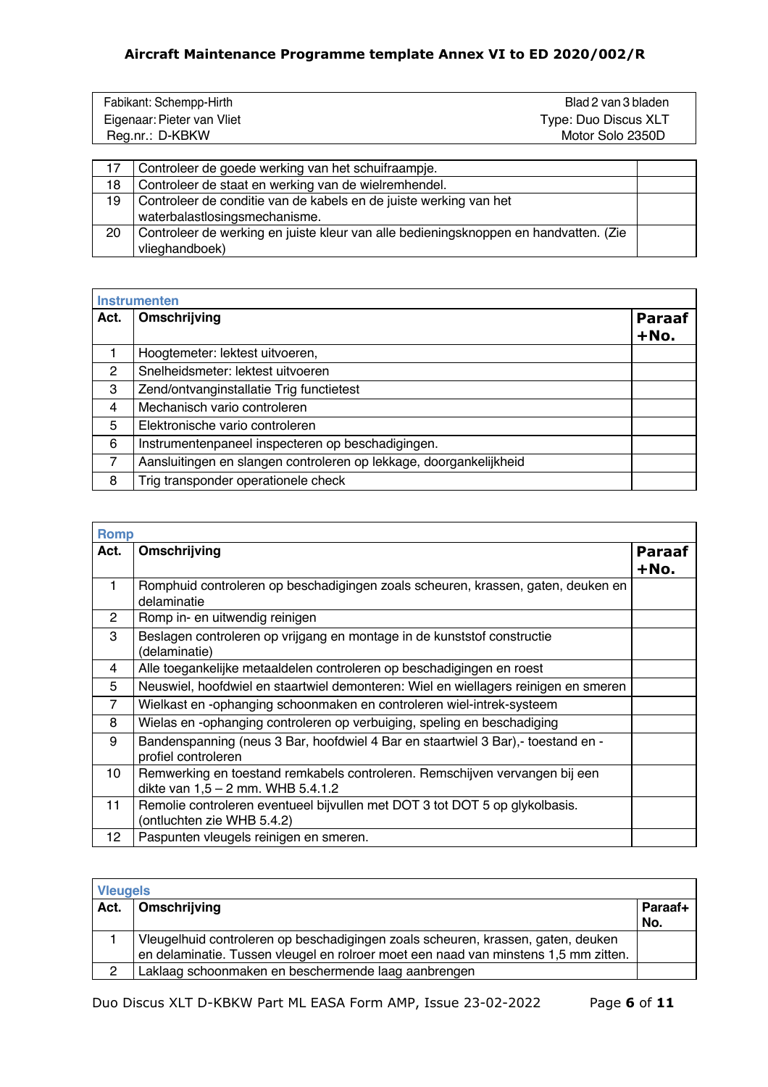| Fabikant: Schempp-Hirth    | Blad 2 van 3 bladen  |
|----------------------------|----------------------|
| Eigenaar: Pieter van Vliet | Type: Duo Discus XLT |
| Reg.nr.: D-KBKW            | Motor Solo 2350D     |
|                            |                      |

|    | Controleer de goede werking van het schuifraampje.                                   |  |
|----|--------------------------------------------------------------------------------------|--|
| 18 | Controleer de staat en werking van de wielremhendel.                                 |  |
| 19 | Controleer de conditie van de kabels en de juiste werking van het                    |  |
|    | waterbalastlosingsmechanisme.                                                        |  |
| 20 | Controleer de werking en juiste kleur van alle bedieningsknoppen en handvatten. (Zie |  |
|    | vlieghandboek)                                                                       |  |

|      | <b>Instrumenten</b>                                                |                         |
|------|--------------------------------------------------------------------|-------------------------|
| Act. | Omschrijving                                                       | <b>Paraaf</b><br>$+No.$ |
|      | Hoogtemeter: lektest uitvoeren,                                    |                         |
| 2    | Snelheidsmeter: lektest uitvoeren                                  |                         |
| 3    | Zend/ontvanginstallatie Trig functietest                           |                         |
| 4    | Mechanisch vario controleren                                       |                         |
| 5    | Elektronische vario controleren                                    |                         |
| 6    | Instrumentenpaneel inspecteren op beschadigingen.                  |                         |
| 7    | Aansluitingen en slangen controleren op lekkage, doorgankelijkheid |                         |
| 8    | Trig transponder operationele check                                |                         |

| <b>Romp</b>    |                                                                                                                  |                       |
|----------------|------------------------------------------------------------------------------------------------------------------|-----------------------|
| Act.           | Omschrijving                                                                                                     | <b>Paraaf</b><br>+No. |
| 1              | Romphuid controleren op beschadigingen zoals scheuren, krassen, gaten, deuken en<br>delaminatie                  |                       |
| $\overline{2}$ | Romp in- en uitwendig reinigen                                                                                   |                       |
| 3              | Beslagen controleren op vrijgang en montage in de kunststof constructie<br>(delaminatie)                         |                       |
| 4              | Alle toegankelijke metaaldelen controleren op beschadigingen en roest                                            |                       |
| 5              | Neuswiel, hoofdwiel en staartwiel demonteren: Wiel en wiellagers reinigen en smeren                              |                       |
| 7              | Wielkast en -ophanging schoonmaken en controleren wiel-intrek-systeem                                            |                       |
| 8              | Wielas en -ophanging controleren op verbuiging, speling en beschadiging                                          |                       |
| 9              | Bandenspanning (neus 3 Bar, hoofdwiel 4 Bar en staartwiel 3 Bar),- toestand en -<br>profiel controleren          |                       |
| 10             | Remwerking en toestand remkabels controleren. Remschijven vervangen bij een<br>dikte van 1,5 - 2 mm. WHB 5.4.1.2 |                       |
| 11             | Remolie controleren eventueel bijvullen met DOT 3 tot DOT 5 op glykolbasis.<br>(ontluchten zie WHB 5.4.2)        |                       |
| 12             | Paspunten vleugels reinigen en smeren.                                                                           |                       |

| <b>Vleugels</b> |                                                                                     |         |  |
|-----------------|-------------------------------------------------------------------------------------|---------|--|
| Act.            | Omschrijving                                                                        | Paraaf+ |  |
|                 |                                                                                     | No.     |  |
|                 | Vleugelhuid controleren op beschadigingen zoals scheuren, krassen, gaten, deuken    |         |  |
|                 | en delaminatie. Tussen vleugel en rolroer moet een naad van minstens 1,5 mm zitten. |         |  |
| 2               | Laklaag schoonmaken en beschermende laag aanbrengen                                 |         |  |

Duo Discus XLT D-KBKW Part ML EASA Form AMP, Issue 23-02-2022 Page **6** of **11**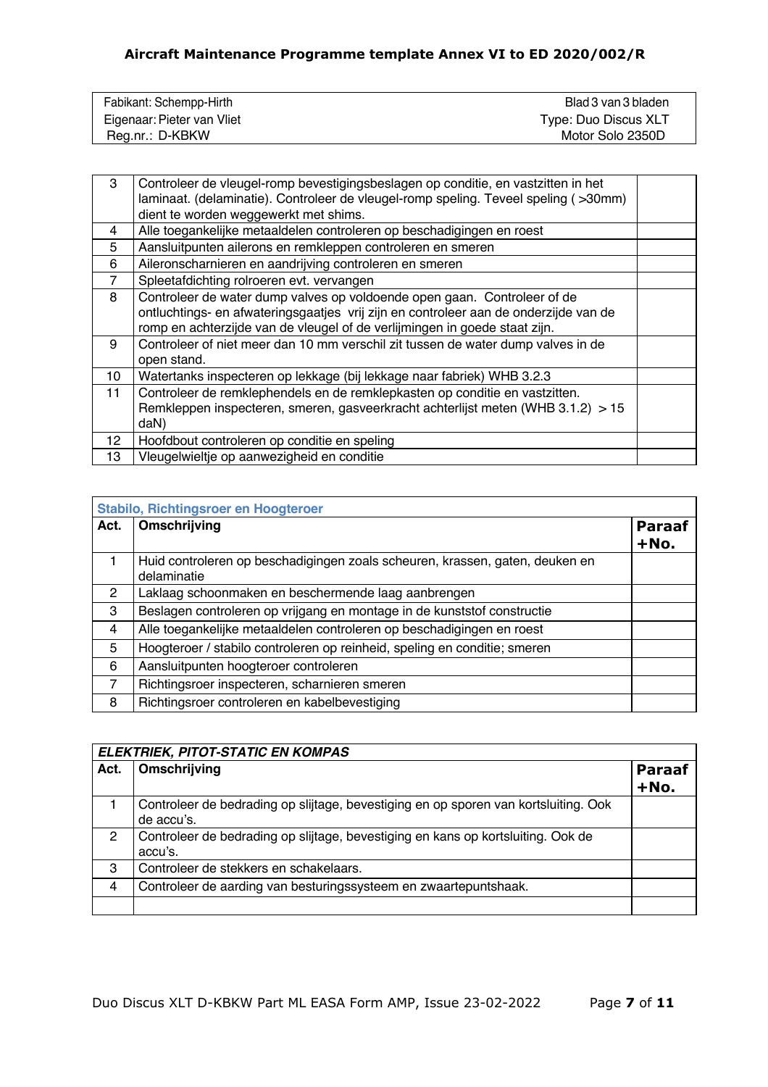| Fabikant: Schempp-Hirth    | Blad 3 van 3 bladen  |
|----------------------------|----------------------|
| Eigenaar: Pieter van Vliet | Type: Duo Discus XLT |
| Reg.nr.: D-KBKW            | Motor Solo 2350D     |

| 3              | Controleer de vleugel-romp bevestigingsbeslagen op conditie, en vastzitten in het<br>laminaat. (delaminatie). Controleer de vleugel-romp speling. Teveel speling (>30mm)<br>dient te worden weggewerkt met shims.                              |  |
|----------------|------------------------------------------------------------------------------------------------------------------------------------------------------------------------------------------------------------------------------------------------|--|
| 4              | Alle toegankelijke metaaldelen controleren op beschadigingen en roest                                                                                                                                                                          |  |
| 5              | Aansluitpunten ailerons en remkleppen controleren en smeren                                                                                                                                                                                    |  |
| 6              | Aileronscharnieren en aandrijving controleren en smeren                                                                                                                                                                                        |  |
| $\overline{7}$ | Spleetafdichting rolroeren evt. vervangen                                                                                                                                                                                                      |  |
| 8              | Controleer de water dump valves op voldoende open gaan. Controleer of de<br>ontluchtings- en afwateringsgaatjes vrij zijn en controleer aan de onderzijde van de<br>romp en achterzijde van de vleugel of de verlijmingen in goede staat zijn. |  |
| 9              | Controleer of niet meer dan 10 mm verschil zit tussen de water dump valves in de<br>open stand.                                                                                                                                                |  |
| 10             | Watertanks inspecteren op lekkage (bij lekkage naar fabriek) WHB 3.2.3                                                                                                                                                                         |  |
| 11             | Controleer de remklephendels en de remklepkasten op conditie en vastzitten.<br>Remkleppen inspecteren, smeren, gasveerkracht achterlijst meten (WHB 3.1.2) > 15<br>daN)                                                                        |  |
| 12             | Hoofdbout controleren op conditie en speling                                                                                                                                                                                                   |  |
| 13             | Vleugelwieltje op aanwezigheid en conditie                                                                                                                                                                                                     |  |

| Stabilo, Richtingsroer en Hoogteroer |                                                                                             |                       |  |  |
|--------------------------------------|---------------------------------------------------------------------------------------------|-----------------------|--|--|
| Act.                                 | Omschrijving                                                                                | <b>Paraaf</b><br>+No. |  |  |
| 1                                    | Huid controleren op beschadigingen zoals scheuren, krassen, gaten, deuken en<br>delaminatie |                       |  |  |
| 2                                    | Laklaag schoonmaken en beschermende laag aanbrengen                                         |                       |  |  |
| 3                                    | Beslagen controleren op vrijgang en montage in de kunststof constructie                     |                       |  |  |
| 4                                    | Alle toegankelijke metaaldelen controleren op beschadigingen en roest                       |                       |  |  |
| 5                                    | Hoogteroer / stabilo controleren op reinheid, speling en conditie; smeren                   |                       |  |  |
| 6                                    | Aansluitpunten hoogteroer controleren                                                       |                       |  |  |
| $\overline{7}$                       | Richtingsroer inspecteren, scharnieren smeren                                               |                       |  |  |
| 8                                    | Richtingsroer controleren en kabelbevestiging                                               |                       |  |  |

|      | <b>ELEKTRIEK, PITOT-STATIC EN KOMPAS</b>                                                          |                       |  |  |
|------|---------------------------------------------------------------------------------------------------|-----------------------|--|--|
| Act. | Omschrijving                                                                                      | <b>Paraaf</b><br>+No. |  |  |
|      | Controleer de bedrading op slijtage, bevestiging en op sporen van kortsluiting. Ook<br>de accu's. |                       |  |  |
| 2    | Controleer de bedrading op slijtage, bevestiging en kans op kortsluiting. Ook de<br>accu's.       |                       |  |  |
| 3    | Controleer de stekkers en schakelaars.                                                            |                       |  |  |
| 4    | Controleer de aarding van besturingssysteem en zwaartepuntshaak.                                  |                       |  |  |
|      |                                                                                                   |                       |  |  |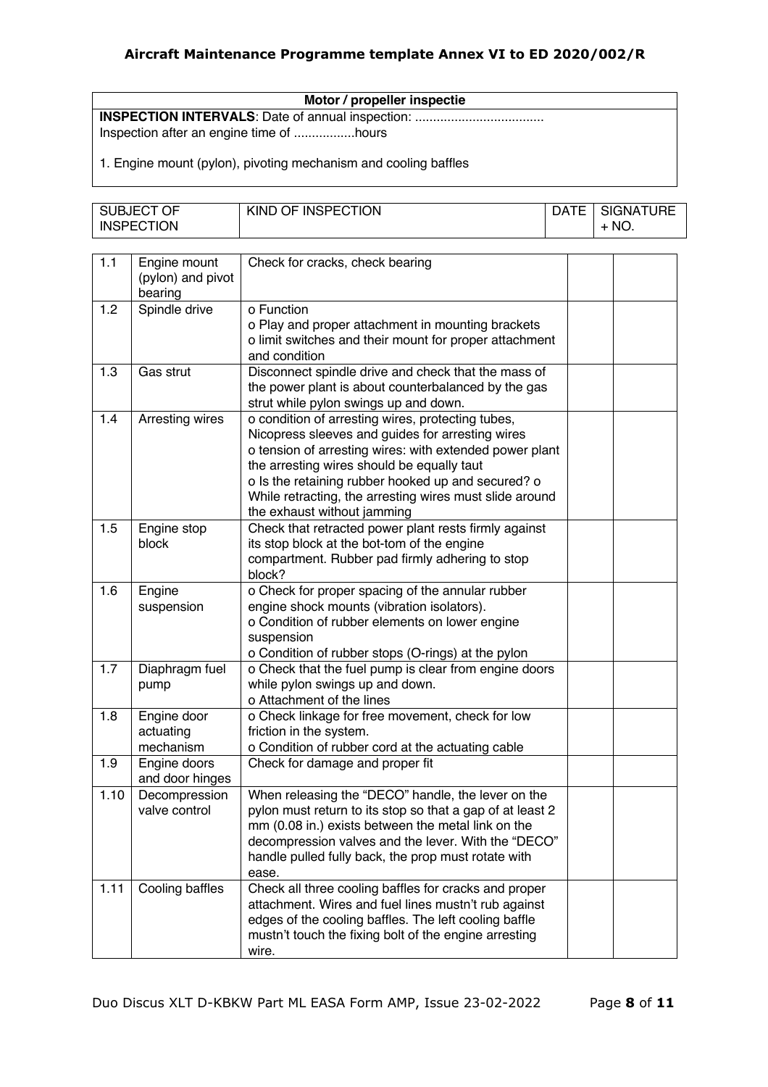**Motor / propeller inspectie INSPECTION INTERVALS**: Date of annual inspection: .................................... Inspection after an engine time of .................hours

1. Engine mount (pylon), pivoting mechanism and cooling baffles

| SUBJECT OF        | KIND OF INSPECTION | <b>DATE</b> | <b>SIGNATURE</b> |
|-------------------|--------------------|-------------|------------------|
| <b>INSPECTION</b> |                    |             | NO.              |

| 1.1  | Engine mount<br>(pylon) and pivot<br>bearing | Check for cracks, check bearing                              |  |
|------|----------------------------------------------|--------------------------------------------------------------|--|
| 1.2  | Spindle drive                                | o Function                                                   |  |
|      |                                              | o Play and proper attachment in mounting brackets            |  |
|      |                                              | o limit switches and their mount for proper attachment       |  |
|      |                                              | and condition                                                |  |
| 1.3  | Gas strut                                    | Disconnect spindle drive and check that the mass of          |  |
|      |                                              | the power plant is about counterbalanced by the gas          |  |
|      |                                              | strut while pylon swings up and down.                        |  |
| 1.4  | Arresting wires                              | o condition of arresting wires, protecting tubes,            |  |
|      |                                              | Nicopress sleeves and guides for arresting wires             |  |
|      |                                              | o tension of arresting wires: with extended power plant      |  |
|      |                                              | the arresting wires should be equally taut                   |  |
|      |                                              | o Is the retaining rubber hooked up and secured? o           |  |
|      |                                              | While retracting, the arresting wires must slide around      |  |
|      |                                              | the exhaust without jamming                                  |  |
| 1.5  | Engine stop                                  | Check that retracted power plant rests firmly against        |  |
|      | block                                        | its stop block at the bot-tom of the engine                  |  |
|      |                                              | compartment. Rubber pad firmly adhering to stop              |  |
|      |                                              | block?                                                       |  |
| 1.6  | Engine                                       | o Check for proper spacing of the annular rubber             |  |
|      | suspension                                   | engine shock mounts (vibration isolators).                   |  |
|      |                                              | o Condition of rubber elements on lower engine               |  |
|      |                                              | suspension                                                   |  |
|      |                                              | o Condition of rubber stops (O-rings) at the pylon           |  |
| 1.7  | Diaphragm fuel                               | o Check that the fuel pump is clear from engine doors        |  |
|      | pump                                         | while pylon swings up and down.<br>o Attachment of the lines |  |
| 1.8  | Engine door                                  | o Check linkage for free movement, check for low             |  |
|      | actuating                                    | friction in the system.                                      |  |
|      | mechanism                                    | o Condition of rubber cord at the actuating cable            |  |
| 1.9  | Engine doors                                 | Check for damage and proper fit                              |  |
|      | and door hinges                              |                                                              |  |
| 1.10 | Decompression                                | When releasing the "DECO" handle, the lever on the           |  |
|      | valve control                                | pylon must return to its stop so that a gap of at least 2    |  |
|      |                                              | mm (0.08 in.) exists between the metal link on the           |  |
|      |                                              | decompression valves and the lever. With the "DECO"          |  |
|      |                                              | handle pulled fully back, the prop must rotate with          |  |
|      |                                              | ease.                                                        |  |
| 1.11 | Cooling baffles                              | Check all three cooling baffles for cracks and proper        |  |
|      |                                              | attachment. Wires and fuel lines mustn't rub against         |  |
|      |                                              | edges of the cooling baffles. The left cooling baffle        |  |
|      |                                              | mustn't touch the fixing bolt of the engine arresting        |  |
|      |                                              | wire.                                                        |  |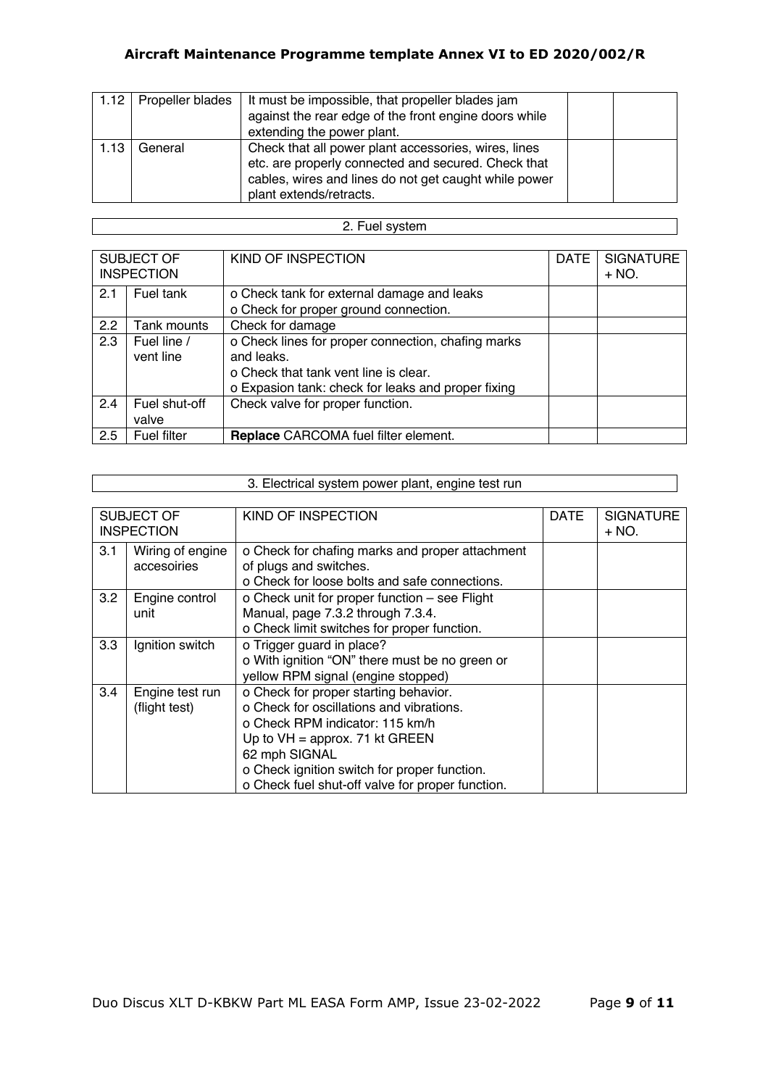|      | 1.12   Propeller blades | It must be impossible, that propeller blades jam      |  |
|------|-------------------------|-------------------------------------------------------|--|
|      |                         | against the rear edge of the front engine doors while |  |
|      |                         | extending the power plant.                            |  |
| 1.13 | General                 | Check that all power plant accessories, wires, lines  |  |
|      |                         | etc. are properly connected and secured. Check that   |  |
|      |                         | cables, wires and lines do not get caught while power |  |
|      |                         | plant extends/retracts.                               |  |

### 2. Fuel system

| SUBJECT OF |                   | KIND OF INSPECTION                                 | <b>DATE</b> | <b>SIGNATURE</b> |  |  |
|------------|-------------------|----------------------------------------------------|-------------|------------------|--|--|
|            | <b>INSPECTION</b> |                                                    |             | $+ NO.$          |  |  |
| 2.1        | Fuel tank         | o Check tank for external damage and leaks         |             |                  |  |  |
|            |                   | o Check for proper ground connection.              |             |                  |  |  |
| 2.2        | Tank mounts       | Check for damage                                   |             |                  |  |  |
| 2.3        | Fuel line /       | o Check lines for proper connection, chafing marks |             |                  |  |  |
|            | vent line         | and leaks.                                         |             |                  |  |  |
|            |                   | o Check that tank vent line is clear.              |             |                  |  |  |
|            |                   | o Expasion tank: check for leaks and proper fixing |             |                  |  |  |
| 2.4        | Fuel shut-off     | Check valve for proper function.                   |             |                  |  |  |
|            | valve             |                                                    |             |                  |  |  |
| 2.5        | Fuel filter       | Replace CARCOMA fuel filter element.               |             |                  |  |  |

|     | 3. Electrical system power plant, engine test run |                                                  |             |                  |  |
|-----|---------------------------------------------------|--------------------------------------------------|-------------|------------------|--|
|     |                                                   |                                                  |             |                  |  |
|     | SUBJECT OF                                        | KIND OF INSPECTION                               | <b>DATE</b> | <b>SIGNATURE</b> |  |
|     | <b>INSPECTION</b>                                 |                                                  |             | $+ NO.$          |  |
| 3.1 | Wiring of engine                                  | o Check for chafing marks and proper attachment  |             |                  |  |
|     | accesoiries                                       | of plugs and switches.                           |             |                  |  |
|     |                                                   | o Check for loose bolts and safe connections.    |             |                  |  |
| 3.2 | Engine control                                    | o Check unit for proper function - see Flight    |             |                  |  |
|     | unit                                              | Manual, page 7.3.2 through 7.3.4.                |             |                  |  |
|     |                                                   | o Check limit switches for proper function.      |             |                  |  |
| 3.3 | Ignition switch                                   | o Trigger guard in place?                        |             |                  |  |
|     |                                                   | o With ignition "ON" there must be no green or   |             |                  |  |
|     |                                                   | yellow RPM signal (engine stopped)               |             |                  |  |
| 3.4 | Engine test run                                   | o Check for proper starting behavior.            |             |                  |  |
|     | (flight test)                                     | o Check for oscillations and vibrations.         |             |                  |  |
|     |                                                   | o Check RPM indicator: 115 km/h                  |             |                  |  |
|     |                                                   | Up to $VH =$ approx. 71 kt GREEN                 |             |                  |  |
|     |                                                   | 62 mph SIGNAL                                    |             |                  |  |
|     |                                                   | o Check ignition switch for proper function.     |             |                  |  |
|     |                                                   | o Check fuel shut-off valve for proper function. |             |                  |  |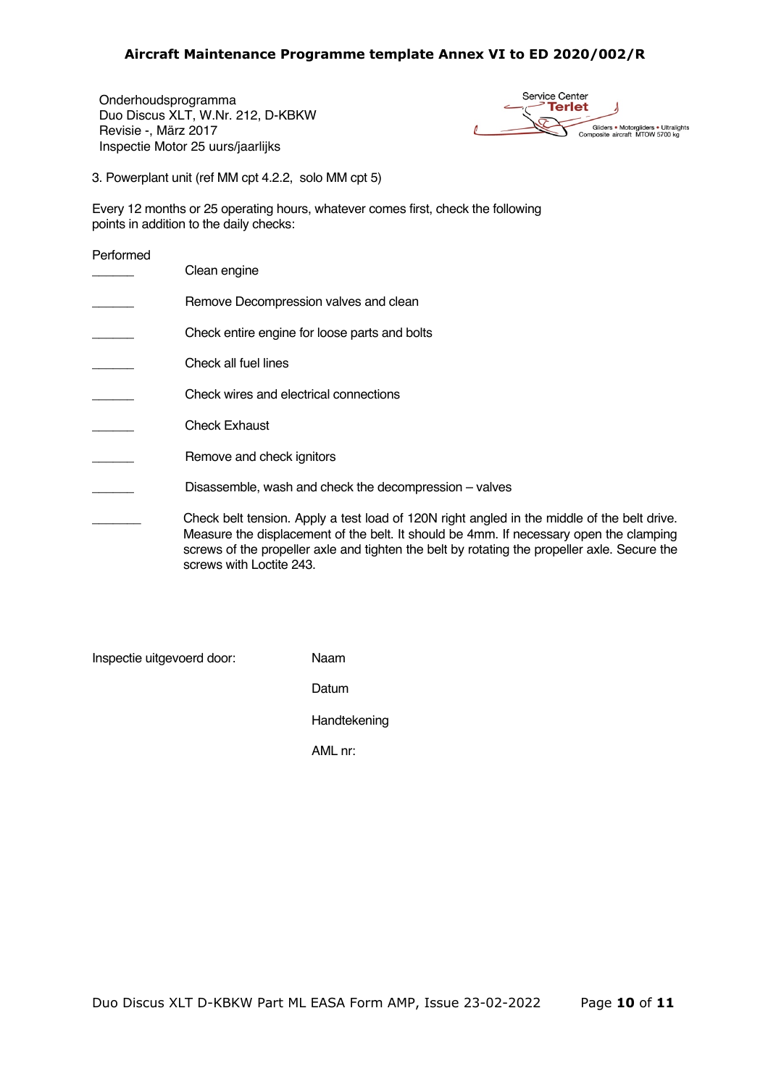Onderhoudsprogramma Duo Discus XLT, W.Nr. 212, D-KBKW Revisie -, März 2017 Inspectie Motor 25 uurs/jaarlijks

Service Center **Terlet** Gliders . Motorgliders . Ultralights<br>Composite aircraft MTOW 5700 kg

3. Powerplant unit (ref MM cpt 4.2.2, solo MM cpt 5)

screws with Loctite 243.

Every 12 months or 25 operating hours, whatever comes first, check the following points in addition to the daily checks:

Performed

| Clean engine                                                                                                                                                                                                                                                                          |
|---------------------------------------------------------------------------------------------------------------------------------------------------------------------------------------------------------------------------------------------------------------------------------------|
| Remove Decompression valves and clean                                                                                                                                                                                                                                                 |
| Check entire engine for loose parts and bolts                                                                                                                                                                                                                                         |
| Check all fuel lines                                                                                                                                                                                                                                                                  |
| Check wires and electrical connections                                                                                                                                                                                                                                                |
| <b>Check Exhaust</b>                                                                                                                                                                                                                                                                  |
| Remove and check ignitors                                                                                                                                                                                                                                                             |
| Disassemble, wash and check the decompression – valves                                                                                                                                                                                                                                |
| Check belt tension. Apply a test load of 120N right angled in the middle of the belt drive.<br>Measure the displacement of the belt. It should be 4mm. If necessary open the clamping<br>screws of the propeller axle and tighten the belt by rotating the propeller axle. Secure the |

Inspectie uitgevoerd door: Naam

Datum

Handtekening

AML nr: